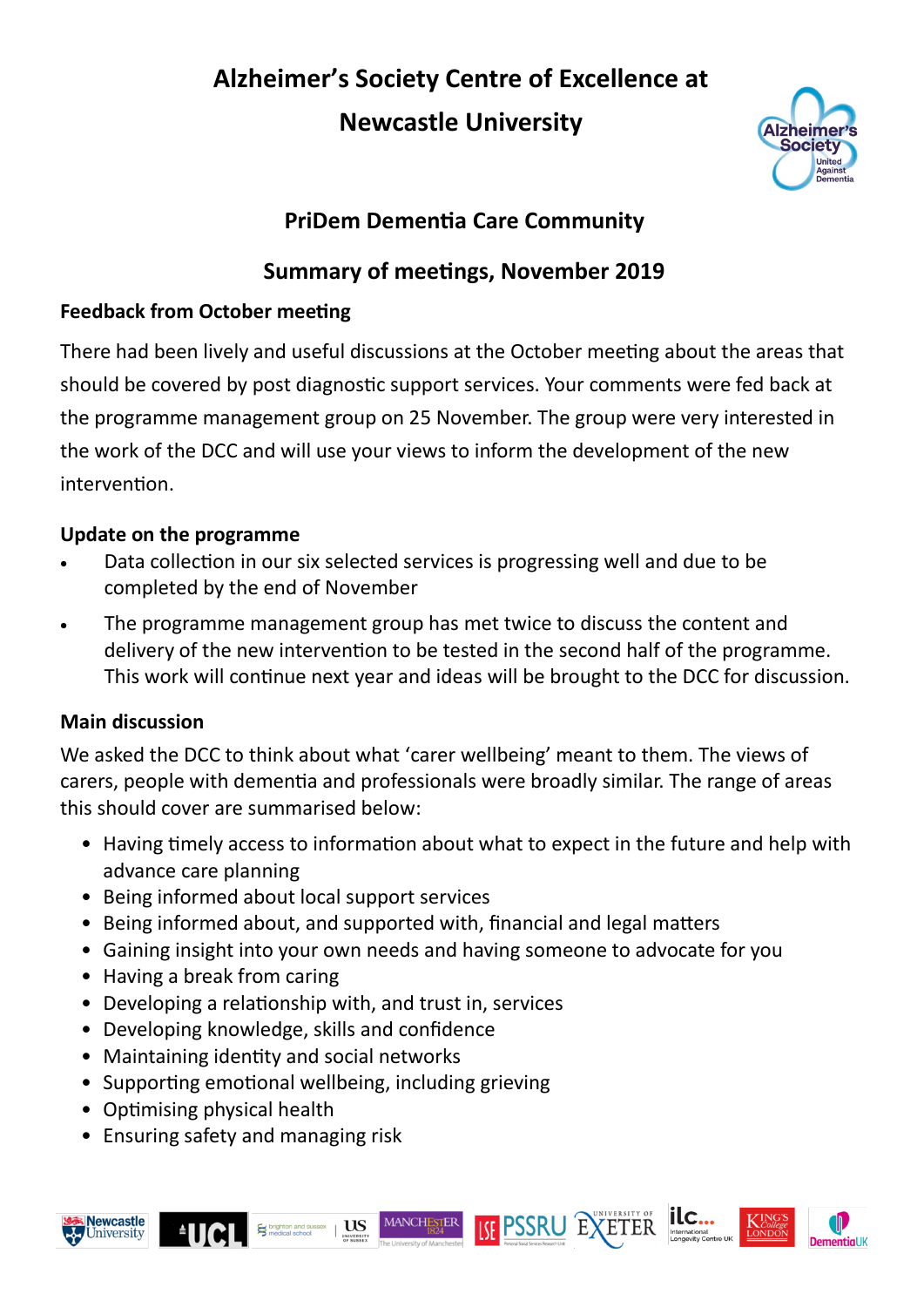# **Alzheimer's Society Centre of Excellence at Newcastle University**



# **PriDem Dementia Care Community**

# **Summary of meetings, November 2019**

#### **Feedback from October meeting**

There had been lively and useful discussions at the October meeting about the areas that should be covered by post diagnostic support services. Your comments were fed back at the programme management group on 25 November. The group were very interested in the work of the DCC and will use your views to inform the development of the new intervention.

#### **Update on the programme**

- Data collection in our six selected services is progressing well and due to be completed by the end of November
- The programme management group has met twice to discuss the content and delivery of the new intervention to be tested in the second half of the programme. This work will continue next year and ideas will be brought to the DCC for discussion.

#### **Main discussion**

We asked the DCC to think about what 'carer wellbeing' meant to them. The views of carers, people with dementia and professionals were broadly similar. The range of areas this should cover are summarised below:

- Having timely access to information about what to expect in the future and help with advance care planning
- Being informed about local support services
- Being informed about, and supported with, financial and legal matters
- Gaining insight into your own needs and having someone to advocate for you

MANCHESTER

- Having a break from caring
- Developing a relationship with, and trust in, services
- Developing knowledge, skills and confidence
- Maintaining identity and social networks
- Supporting emotional wellbeing, including grieving

**US** 

- Optimising physical health
- Ensuring safety and managing risk









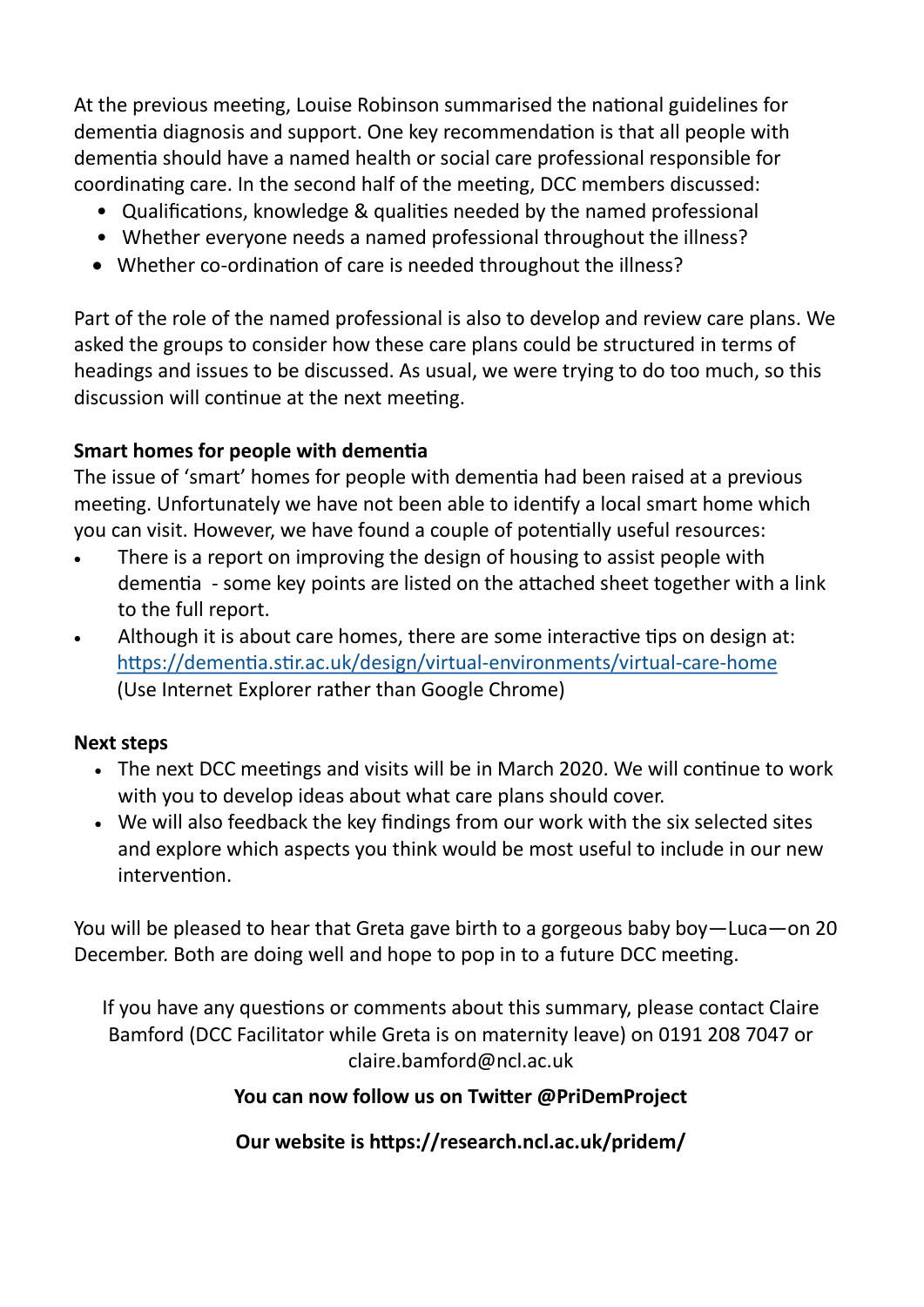At the previous meeting, Louise Robinson summarised the national guidelines for dementia diagnosis and support. One key recommendation is that all people with dementia should have a named health or social care professional responsible for coordinating care. In the second half of the meeting, DCC members discussed:

- Qualifications, knowledge & qualities needed by the named professional
- Whether everyone needs a named professional throughout the illness?
- Whether co-ordination of care is needed throughout the illness?

Part of the role of the named professional is also to develop and review care plans. We asked the groups to consider how these care plans could be structured in terms of headings and issues to be discussed. As usual, we were trying to do too much, so this discussion will continue at the next meeting.

#### **Smart homes for people with dementia**

The issue of 'smart' homes for people with dementia had been raised at a previous meeting. Unfortunately we have not been able to identify a local smart home which you can visit. However, we have found a couple of potentially useful resources:

- There is a report on improving the design of housing to assist people with dementia - some key points are listed on the attached sheet together with a link to the full report.
- Although it is about care homes, there are some interactive tips on design at: [https://dementia.stir.ac.uk/design/virtual](https://dementia.stir.ac.uk/design/virtual-environments/virtual-care-home)-environments/virtual-care-home (Use Internet Explorer rather than Google Chrome)

#### **Next steps**

- The next DCC meetings and visits will be in March 2020. We will continue to work with you to develop ideas about what care plans should cover.
- We will also feedback the key findings from our work with the six selected sites and explore which aspects you think would be most useful to include in our new intervention.

You will be pleased to hear that Greta gave birth to a gorgeous baby boy—Luca—on 20 December. Both are doing well and hope to pop in to a future DCC meeting.

If you have any questions or comments about this summary, please contact Claire Bamford (DCC Facilitator while Greta is on maternity leave) on 0191 208 7047 or claire.bamford@ncl.ac.uk

#### **You can now follow us on Twitter @PriDemProject**

**Our website is https://research.ncl.ac.uk/pridem/**